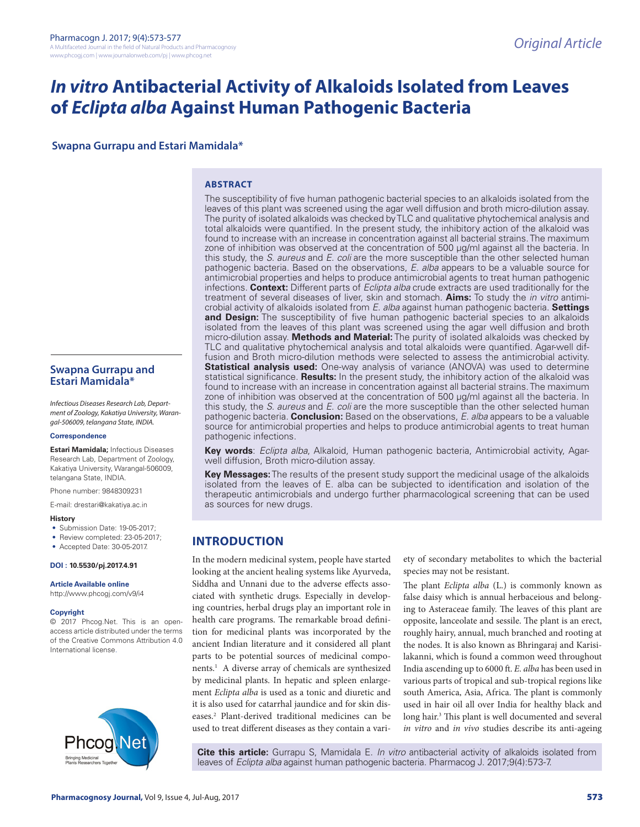# *In vitro* **Antibacterial Activity of Alkaloids Isolated from Leaves of** *Eclipta alba* **Against Human Pathogenic Bacteria**

**Swapna Gurrapu and Estari Mamidala\***

### **ABSTRACT**

The susceptibility of five human pathogenic bacterial species to an alkaloids isolated from the leaves of this plant was screened using the agar well diffusion and broth micro-dilution assay. The purity of isolated alkaloids was checked by TLC and qualitative phytochemical analysis and total alkaloids were quantified. In the present study, the inhibitory action of the alkaloid was found to increase with an increase in concentration against all bacterial strains. The maximum zone of inhibition was observed at the concentration of 500 µg/ml against all the bacteria. In this study, the *S. aureus* and *E. coli* are the more susceptible than the other selected human pathogenic bacteria. Based on the observations, *E. alba* appears to be a valuable source for antimicrobial properties and helps to produce antimicrobial agents to treat human pathogenic infections. **Context:** Different parts of *Eclipta alba* crude extracts are used traditionally for the treatment of several diseases of liver, skin and stomach. **Aims:** To study the *in vitro* antimicrobial activity of alkaloids isolated from *E. alba* against human pathogenic bacteria. **Settings and Design:** The susceptibility of five human pathogenic bacterial species to an alkaloids isolated from the leaves of this plant was screened using the agar well diffusion and broth micro-dilution assay. **Methods and Material:** The purity of isolated alkaloids was checked by TLC and qualitative phytochemical analysis and total alkaloids were quantified. Agar-well diffusion and Broth micro-dilution methods were selected to assess the antimicrobial activity. **Statistical analysis used:** One-way analysis of variance (ANOVA) was used to determine statistical significance. **Results:** In the present study, the inhibitory action of the alkaloid was found to increase with an increase in concentration against all bacterial strains. The maximum zone of inhibition was observed at the concentration of 500 µg/ml against all the bacteria. In this study, the *S. aureus* and *E. coli* are the more susceptible than the other selected human pathogenic bacteria. **Conclusion:** Based on the observations, *E. alba* appears to be a valuable source for antimicrobial properties and helps to produce antimicrobial agents to treat human pathogenic infections.

**Key words**: *Eclipta alba*, Alkaloid, Human pathogenic bacteria, Antimicrobial activity, Agarwell diffusion, Broth micro-dilution assay.

**Key Messages:** The results of the present study support the medicinal usage of the alkaloids isolated from the leaves of E. alba can be subjected to identification and isolation of the therapeutic antimicrobials and undergo further pharmacological screening that can be used as sources for new drugs.

# **INTRODUCTION**

In the modern medicinal system, people have started looking at the ancient healing systems like Ayurveda, Siddha and Unnani due to the adverse effects associated with synthetic drugs. Especially in developing countries, herbal drugs play an important role in health care programs. The remarkable broad definition for medicinal plants was incorporated by the ancient Indian literature and it considered all plant parts to be potential sources of medicinal components.1 A diverse array of chemicals are synthesized by medicinal plants. In hepatic and spleen enlargement *Eclipta alba* is used as a tonic and diuretic and it is also used for catarrhal jaundice and for skin diseases.2 Plant-derived traditional medicines can be used to treat different diseases as they contain a variety of secondary metabolites to which the bacterial species may not be resistant.

The plant *Eclipta alba* (L.) is commonly known as false daisy which is annual herbaceious and belonging to Asteraceae family. The leaves of this plant are opposite, lanceolate and sessile. The plant is an erect, roughly hairy, annual, much branched and rooting at the nodes. It is also known as Bhringaraj and Karisilakanni, which is found a common weed throughout India ascending up to 6000 ft. *E. alba* has been used in various parts of tropical and sub-tropical regions like south America, Asia, Africa. The plant is commonly used in hair oil all over India for healthy black and long hair.<sup>3</sup> This plant is well documented and several *in vitro* and *in vivo* studies describe its anti-ageing

**Cite this article:** Gurrapu S, Mamidala E. *In vitro* antibacterial activity of alkaloids isolated from leaves of *Eclipta alba* against human pathogenic bacteria. Pharmacog J. 2017;9(4):573-7.

# **Swapna Gurrapu and Estari Mamidala\***

*Infectious Diseases Research Lab, Department of Zoology, Kakatiya University, Warangal-506009, telangana State, INDIA.*

#### **Correspondence**

**Estari Mamidala;** Infectious Diseases Research Lab, Department of Zoology, Kakatiya University, Warangal-506009, telangana State, INDIA.

Phone number: 9848309231

E-mail: drestari@kakatiya.ac.in

#### **History**

- Submission Date: 19-05-2017:
- Review completed: 23-05-2017;
- Accepted Date: 30-05-2017.

**DOI : 10.5530/pj.2017.4.91**

**Article Available online**  http://www.phcogj.com/v9/i4

### **Copyright**

© 2017 Phcog.Net. This is an openaccess article distributed under the terms of the Creative Commons Attribution 4.0 International license.

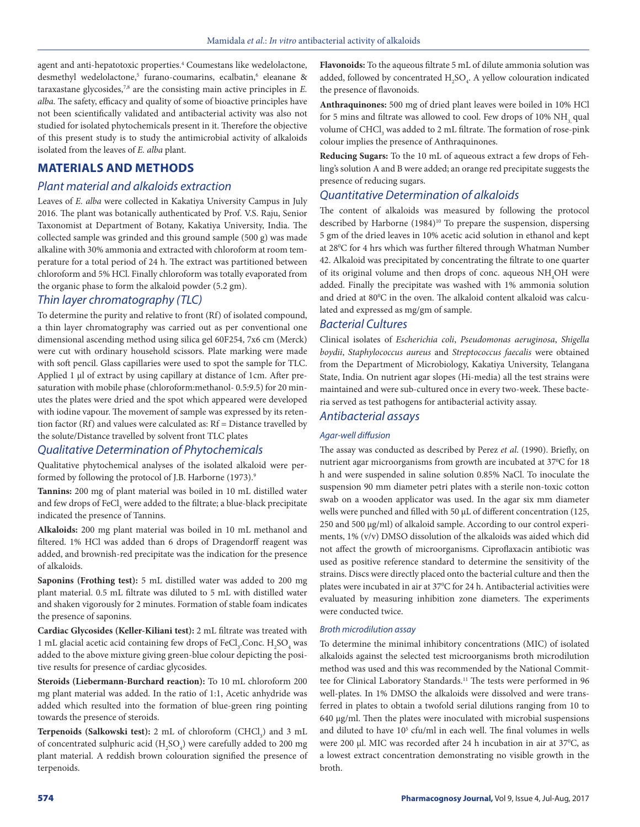agent and anti-hepatotoxic properties.<sup>4</sup> Coumestans like wedelolactone, desmethyl wedelolactone,<sup>5</sup> furano-coumarins, ecalbatin,<sup>6</sup> eleanane & taraxastane glycosides,7,8 are the consisting main active principles in *E. alba.* The safety, efficacy and quality of some of bioactive principles have not been scientifically validated and antibacterial activity was also not studied for isolated phytochemicals present in it. Therefore the objective of this present study is to study the antimicrobial activity of alkaloids isolated from the leaves of *E. alba* plant.

# **MATERIALS AND METHODS**

# *Plant material and alkaloids extraction*

Leaves of *E. alba* were collected in Kakatiya University Campus in July 2016. The plant was botanically authenticated by Prof. V.S. Raju, Senior Taxonomist at Department of Botany, Kakatiya University, India. The collected sample was grinded and this ground sample (500 g) was made alkaline with 30% ammonia and extracted with chloroform at room temperature for a total period of 24 h. The extract was partitioned between chloroform and 5% HCl. Finally chloroform was totally evaporated from the organic phase to form the alkaloid powder (5.2 gm).

# *Thin layer chromatography (TLC)*

To determine the purity and relative to front (Rf) of isolated compound, a thin layer chromatography was carried out as per conventional one dimensional ascending method using silica gel 60F254, 7x6 cm (Merck) were cut with ordinary household scissors. Plate marking were made with soft pencil. Glass capillaries were used to spot the sample for TLC. Applied 1 µl of extract by using capillary at distance of 1cm. After presaturation with mobile phase (chloroform:methanol- 0.5:9.5) for 20 minutes the plates were dried and the spot which appeared were developed with iodine vapour. The movement of sample was expressed by its retention factor (Rf) and values were calculated as: Rf = Distance travelled by the solute/Distance travelled by solvent front TLC plates

## *Qualitative Determination of Phytochemicals*

Qualitative phytochemical analyses of the isolated alkaloid were performed by following the protocol of J.B. Harborne (1973).<sup>9</sup>

**Tannins:** 200 mg of plant material was boiled in 10 mL distilled water and few drops of  $\mathrm{FeCl}_3$  were added to the filtrate; a blue-black precipitate indicated the presence of Tannins.

**Alkaloids:** 200 mg plant material was boiled in 10 mL methanol and filtered. 1% HCl was added than 6 drops of Dragendorff reagent was added, and brownish-red precipitate was the indication for the presence of alkaloids.

**Saponins (Frothing test):** 5 mL distilled water was added to 200 mg plant material. 0.5 mL filtrate was diluted to 5 mL with distilled water and shaken vigorously for 2 minutes. Formation of stable foam indicates the presence of saponins.

**Cardiac Glycosides (Keller-Kiliani test):** 2 mL filtrate was treated with  $1 \mathrm{~mL}$  glacial acetic acid containing few drops of  $\mathrm{FeCl}_3$  Conc.  $\mathrm{H}_2\mathrm{SO}_4$  was added to the above mixture giving green-blue colour depicting the positive results for presence of cardiac glycosides.

**Steroids (Liebermann-Burchard reaction):** To 10 mL chloroform 200 mg plant material was added. In the ratio of 1:1, Acetic anhydride was added which resulted into the formation of blue-green ring pointing towards the presence of steroids.

**Terpenoids (Salkowski test):** 2 mL of chloroform (CHCl<sub>3</sub>) and 3 mL of concentrated sulphuric acid  $(H_2SO_4)$  were carefully added to 200 mg plant material. A reddish brown colouration signified the presence of terpenoids.

**Flavonoids:** To the aqueous filtrate 5 mL of dilute ammonia solution was added, followed by concentrated  $\mathrm{H}_{2}\mathrm{SO}_{4}$ . A yellow colouration indicated the presence of flavonoids.

**Anthraquinones:** 500 mg of dried plant leaves were boiled in 10% HCl for 5 mins and filtrate was allowed to cool. Few drops of 10% NH<sub>3</sub> qual volume of  $\mathrm{CHCl}_{_3}$  was added to 2 mL filtrate. The formation of rose-pink colour implies the presence of Anthraquinones.

**Reducing Sugars:** To the 10 mL of aqueous extract a few drops of Fehling's solution A and B were added; an orange red precipitate suggests the presence of reducing sugars.

# *Quantitative Determination of alkaloids*

The content of alkaloids was measured by following the protocol described by Harborne (1984)<sup>10</sup> To prepare the suspension, dispersing 5 gm of the dried leaves in 10% acetic acid solution in ethanol and kept at 28<sup>°</sup>C for 4 hrs which was further filtered through Whatman Number 42. Alkaloid was precipitated by concentrating the filtrate to one quarter of its original volume and then drops of conc. aqueous  $\mathrm{NH}_4\mathrm{OH}$  were added. Finally the precipitate was washed with 1% ammonia solution and dried at 80°C in the oven. The alkaloid content alkaloid was calculated and expressed as mg/gm of sample.

# *Bacterial Cultures*

Clinical isolates of *Escherichia coli*, *Pseudomonas aeruginosa*, *Shigella boydii*, *Staphylococcus aureus* and *Streptococcus faecalis* were obtained from the Department of Microbiology, Kakatiya University, Telangana State, India. On nutrient agar slopes (Hi-media) all the test strains were maintained and were sub-cultured once in every two-week. These bacteria served as test pathogens for antibacterial activity assay.

# *Antibacterial assays*

#### *Agar-well diffusion*

The assay was conducted as described by Perez *et al*. (1990). Briefly, on nutrient agar microorganisms from growth are incubated at 37°C for 18 h and were suspended in saline solution 0.85% NaCl. To inoculate the suspension 90 mm diameter petri plates with a sterile non-toxic cotton swab on a wooden applicator was used. In the agar six mm diameter wells were punched and filled with 50 µL of different concentration (125, 250 and 500 μg/ml) of alkaloid sample. According to our control experiments, 1% (v/v) DMSO dissolution of the alkaloids was aided which did not affect the growth of microorganisms. Ciproflaxacin antibiotic was used as positive reference standard to determine the sensitivity of the strains. Discs were directly placed onto the bacterial culture and then the plates were incubated in air at 37°C for 24 h. Antibacterial activities were evaluated by measuring inhibition zone diameters. The experiments were conducted twice.

#### *Broth microdilution assay*

To determine the minimal inhibitory concentrations (MIC) of isolated alkaloids against the selected test microorganisms broth microdilution method was used and this was recommended by the National Committee for Clinical Laboratory Standards.<sup>11</sup> The tests were performed in 96 well-plates. In 1% DMSO the alkaloids were dissolved and were transferred in plates to obtain a twofold serial dilutions ranging from 10 to 640 μg/ml. Then the plates were inoculated with microbial suspensions and diluted to have 10<sup>5</sup> cfu/ml in each well. The final volumes in wells were 200 μl. MIC was recorded after 24 h incubation in air at 37°C, as a lowest extract concentration demonstrating no visible growth in the broth.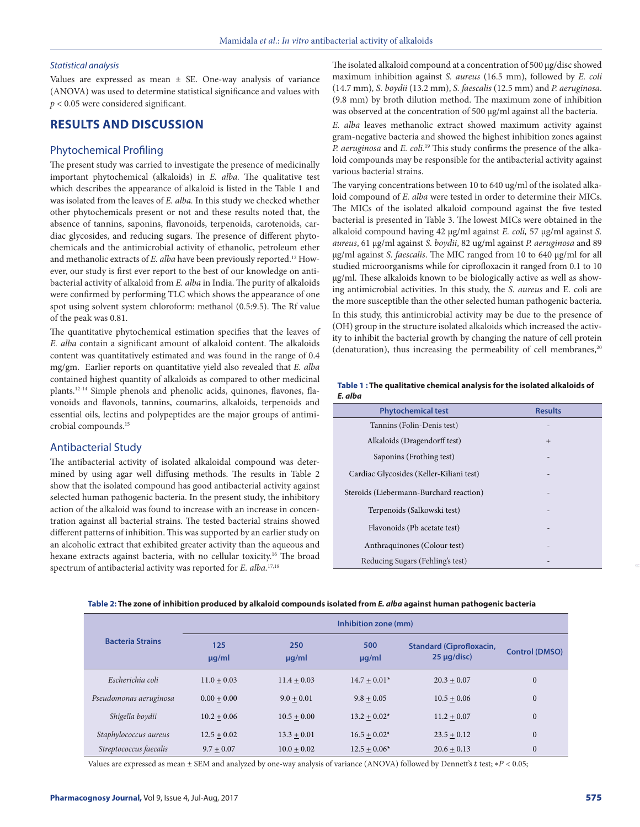#### *Statistical analysis*

Values are expressed as mean  $\pm$  SE. One-way analysis of variance (ANOVA) was used to determine statistical significance and values with *p* < 0.05 were considered significant.

# **RESULTS AND DISCUSSION**

#### Phytochemical Profiling

The present study was carried to investigate the presence of medicinally important phytochemical (alkaloids) in *E. alba.* The qualitative test which describes the appearance of alkaloid is listed in the Table 1 and was isolated from the leaves of *E. alba.* In this study we checked whether other phytochemicals present or not and these results noted that, the absence of tannins, saponins, flavonoids, terpenoids, carotenoids, cardiac glycosides, and reducing sugars. The presence of different phytochemicals and the antimicrobial activity of ethanolic, petroleum ether and methanolic extracts of *E. alba* have been previously reported.<sup>12</sup> However, our study is first ever report to the best of our knowledge on antibacterial activity of alkaloid from *E. alba* in India. The purity of alkaloids were confirmed by performing TLC which shows the appearance of one spot using solvent system chloroform: methanol (0.5:9.5). The Rf value of the peak was 0.81.

The quantitative phytochemical estimation specifies that the leaves of *E. alba* contain a significant amount of alkaloid content. The alkaloids content was quantitatively estimated and was found in the range of 0.4 mg/gm. Earlier reports on quantitative yield also revealed that *E. alba* contained highest quantity of alkaloids as compared to other medicinal plants.12-14 Simple phenols and phenolic acids, quinones, flavones, flavonoids and flavonols, tannins, coumarins, alkaloids, terpenoids and essential oils, lectins and polypeptides are the major groups of antimicrobial compounds.15

# Antibacterial Study

The antibacterial activity of isolated alkaloidal compound was determined by using agar well diffusing methods. The results in Table 2 show that the isolated compound has good antibacterial activity against selected human pathogenic bacteria. In the present study, the inhibitory action of the alkaloid was found to increase with an increase in concentration against all bacterial strains. The tested bacterial strains showed different patterns of inhibition. This was supported by an earlier study on an alcoholic extract that exhibited greater activity than the aqueous and hexane extracts against bacteria, with no cellular toxicity.16 The broad spectrum of antibacterial activity was reported for *E. alba.*17,18

The isolated alkaloid compound at a concentration of 500 µg/disc showed maximum inhibition against *S. aureus* (16.5 mm), followed by *E. coli* (14.7 mm)*, S. boydii* (13.2 mm), *S. faescalis* (12.5 mm) and *P. aeruginosa*. (9.8 mm) by broth dilution method. The maximum zone of inhibition was observed at the concentration of 500  $\mu$ g/ml against all the bacteria.

*E. alba* leaves methanolic extract showed maximum activity against gram-negative bacteria and showed the highest inhibition zones against *P. aeruginosa* and *E. coli*. 19 This study confirms the presence of the alkaloid compounds may be responsible for the antibacterial activity against various bacterial strains.

The varying concentrations between 10 to 640 ug/ml of the isolated alkaloid compound of *E. alba* were tested in order to determine their MICs. The MICs of the isolated alkaloid compound against the five tested bacterial is presented in Table 3. The lowest MICs were obtained in the alkaloid compound having 42 µg/ml against *E. coli,* 57 µg/ml against *S. aureus*, 61 µg/ml against *S. boydii*, 82 ug/ml against *P. aeruginosa* and 89 µg/ml against *S. faescalis*. The MIC ranged from 10 to 640 µg/ml for all studied microorganisms while for ciprofloxacin it ranged from 0.1 to 10 µg/ml. These alkaloids known to be biologically active as well as showing antimicrobial activities. In this study, the *S. aureus* and E. coli are the more susceptible than the other selected human pathogenic bacteria.

In this study, this antimicrobial activity may be due to the presence of (OH) group in the structure isolated alkaloids which increased the activity to inhibit the bacterial growth by changing the nature of cell protein (denaturation), thus increasing the permeability of cell membranes, $20$ 

| Table 1: The qualitative chemical analysis for the isolated alkaloids of |
|--------------------------------------------------------------------------|
| E. alba                                                                  |

| <b>Phytochemical test</b>                | <b>Results</b> |
|------------------------------------------|----------------|
| Tannins (Folin-Denis test)               |                |
| Alkaloids (Dragendorff test)             | $+$            |
| Saponins (Frothing test)                 |                |
| Cardiac Glycosides (Keller-Kiliani test) |                |
| Steroids (Liebermann-Burchard reaction)  |                |
| Terpenoids (Salkowski test)              |                |
| Flavonoids (Pb acetate test)             |                |
| Anthraquinones (Colour test)             |                |
| Reducing Sugars (Fehling's test)         |                |

**Table 2: The zone of inhibition produced by alkaloid compounds isolated from** *E. alba* **against human pathogenic bacteria**

|                         | Inhibition zone (mm) |                   |                   |                                                    |                       |
|-------------------------|----------------------|-------------------|-------------------|----------------------------------------------------|-----------------------|
| <b>Bacteria Strains</b> | 125<br>$\mu q/ml$    | 250<br>$\mu q/ml$ | 500<br>$\mu q/ml$ | <b>Standard (Ciprofloxacin,</b><br>$25 \mu q/disc$ | <b>Control (DMSO)</b> |
| Escherichia coli        | $11.0 + 0.03$        | $11.4 + 0.03$     | $14.7 + 0.01*$    | $20.3 + 0.07$                                      | $\boldsymbol{0}$      |
| Pseudomonas aeruginosa  | $0.00 + 0.00$        | $9.0 + 0.01$      | $9.8 + 0.05$      | $10.5 + 0.06$                                      | $\boldsymbol{0}$      |
| Shigella boydii         | $10.2 + 0.06$        | $10.5 + 0.00$     | $13.2 + 0.02*$    | $11.2 + 0.07$                                      | $\boldsymbol{0}$      |
| Staphylococcus aureus   | $12.5 + 0.02$        | $13.3 + 0.01$     | $16.5 + 0.02*$    | $23.5 + 0.12$                                      | $\mathbf{0}$          |
| Streptococcus faecalis  | $9.7 + 0.07$         | $10.0 + 0.02$     | $12.5 + 0.06*$    | $20.6 + 0.13$                                      | $\boldsymbol{0}$      |

Values are expressed as mean  $\pm$  SEM and analyzed by one-way analysis of variance (ANOVA) followed by Dennett's t test; \*P < 0.05;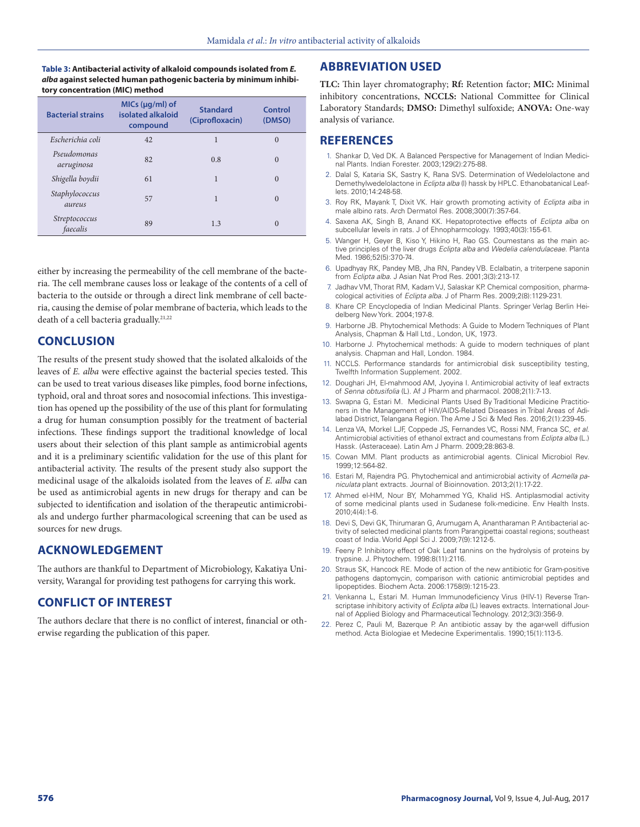**Table 3: Antibacterial activity of alkaloid compounds isolated from** *E. alba* **against selected human pathogenic bacteria by minimum inhibitory concentration (MIC) method**

| <b>Bacterial strains</b>  | $MIS (µq/ml)$ of<br>isolated alkaloid<br>compound | <b>Standard</b><br>(Ciprofloxacin) | Control<br>(DMSO) |
|---------------------------|---------------------------------------------------|------------------------------------|-------------------|
| Escherichia coli          | 42                                                | 1                                  | $\Omega$          |
| Pseudomonas<br>aeruginosa | 82                                                | 0.8                                | $\Omega$          |
| Shigella boydii           | 61                                                | 1                                  | $\Omega$          |
| Staphylococcus<br>aureus  | 57                                                | 1                                  | $\Omega$          |
| Streptococcus<br>faecalis | 89                                                | 1.3                                | $\Omega$          |

either by increasing the permeability of the cell membrane of the bacteria. The cell membrane causes loss or leakage of the contents of a cell of bacteria to the outside or through a direct link membrane of cell bacteria, causing the demise of polar membrane of bacteria, which leads to the death of a cell bacteria gradually.21,22

# **CONCLUSION**

The results of the present study showed that the isolated alkaloids of the leaves of *E. alba* were effective against the bacterial species tested. This can be used to treat various diseases like pimples, food borne infections, typhoid, oral and throat sores and nosocomial infections. This investigation has opened up the possibility of the use of this plant for formulating a drug for human consumption possibly for the treatment of bacterial infections. These findings support the traditional knowledge of local users about their selection of this plant sample as antimicrobial agents and it is a preliminary scientific validation for the use of this plant for antibacterial activity. The results of the present study also support the medicinal usage of the alkaloids isolated from the leaves of *E. alba* can be used as antimicrobial agents in new drugs for therapy and can be subjected to identification and isolation of the therapeutic antimicrobials and undergo further pharmacological screening that can be used as sources for new drugs.

# **ACKNOWLEDGEMENT**

The authors are thankful to Department of Microbiology, Kakatiya University, Warangal for providing test pathogens for carrying this work.

# **CONFLICT OF INTEREST**

The authors declare that there is no conflict of interest, financial or otherwise regarding the publication of this paper.

# **ABBREVIATION USED**

**TLC:** Thin layer chromatography; **Rf:** Retention factor; **MIC:** Minimal inhibitory concentrations, **NCCLS:** National Committee for Clinical Laboratory Standards; **DMSO:** Dimethyl sulfoxide; **ANOVA:** One-way analysis of variance.

# **REFERENCES**

- 1. Shankar D, Ved DK. A Balanced Perspective for Management of Indian Medicinal Plants. Indian Forester. 2003;129(2):275-88.
- 2. Dalal S, Kataria SK, Sastry K, Rana SVS. Determination of Wedelolactone and Demethylwedelolactone in *Eclipta alba* (l) hassk by HPLC. Ethanobatanical Leaflets. 2010;14:248-58.
- 3. Roy RK, Mayank T, Dixit VK. Hair growth promoting activity of *Eclipta alba* in male albino rats. Arch Dermatol Res. 2008;300(7):357-64.
- 4. Saxena AK, Singh B, Anand KK. Hepatoprotective effects of *Eclipta alba* on subcellular levels in rats. J of Ehnopharmcology. 1993;40(3):155-61.
- 5. Wanger H, Geyer B, Kiso Y, Hikino H, Rao GS. Coumestans as the main active principles of the liver drugs *Eclipta alba* and *Wedelia calendulaceae.* Planta Med. 1986;52(5):370-74.
- 6. Upadhyay RK, Pandey MB, Jha RN, Pandey VB. Eclalbatin, a triterpene saponin from *Eclipta alba*. J Asian Nat Prod Res. 2001;3(3):213-17.
- 7. Jadhav VM, Thorat RM, Kadam VJ, Salaskar KP. Chemical composition, pharmacological activities of *Eclipta alba*. J of Pharm Res. 2009;2(8):1129-231.
- 8. Khare CP. Encyclopedia of Indian Medicinal Plants. Springer Verlag Berlin Heidelberg New York. 2004;197-8.
- 9. Harborne JB. Phytochemical Methods: A Guide to Modern Techniques of Plant Analysis, Chapman & Hall Ltd., London, UK, 1973.
- 10. Harborne J. Phytochemical methods: A guide to modern techniques of plant analysis. Chapman and Hall, London. 1984.
- 11. NCCLS. Performance standards for antimicrobial disk susceptibility testing, Twelfth Information Supplement. 2002.
- 12. Doughari JH, El-mahmood AM, Jyoyina I. Antimicrobial activity of leaf extracts of *Senna obtusifolia* (L). Af J Pharm and pharmacol. 2008;2(1):7-13.
- 13. Swapna G, Estari M. Medicinal Plants Used By Traditional Medicine Practitioners in the Management of HIV/AIDS-Related Diseases in Tribal Areas of Adilabad District, Telangana Region. The Ame J Sci & Med Res. 2016;2(1):239-45.
- 14. Lenza VA, Morkel LJF, Coppede JS, Fernandes VC, Rossi NM, Franca SC, *et al*. Antimicrobial activities of ethanol extract and coumestans from *Eclipta alba* (L.) Hassk. (Asteraceae). Latin Am J Pharm. 2009;28:863-8.
- 15. Cowan MM. Plant products as antimicrobial agents. Clinical Microbiol Rev. 1999;12:564-82.
- 16. Estari M, Rajendra PG. Phytochemical and antimicrobial activity of *Acmella paniculata* plant extracts. Journal of Bioinnovation. 2013;2(1):17-22.
- 17. Ahmed el-HM, Nour BY, Mohammed YG, Khalid HS. Antiplasmodial activity of some medicinal plants used in Sudanese folk-medicine. Env Health Insts. 2010;4(4):1-6.
- 18. Devi S, Devi GK, Thirumaran G, Arumugam A, Anantharaman P. Antibacterial activity of selected medicinal plants from Parangipettai coastal regions; southeast coast of India. World Appl Sci J. 2009;7(9):1212-5.
- 19. Feeny P. Inhibitory effect of Oak Leaf tannins on the hydrolysis of proteins by trypsine. J. Phytochem. 1998:8(11):2116.
- 20. Straus SK, Hancock RE. Mode of action of the new antibiotic for Gram-positive pathogens daptomycin, comparison with cationic antimicrobial peptides and lipopeptides. Biochem Acta. 2006:1758(9):1215-23.
- 21. Venkanna L, Estari M. Human Immunodeficiency Virus (HIV-1) Reverse Transcriptase inhibitory activity of *Eclipta alba* (L) leaves extracts. International Journal of Applied Biology and Pharmaceutical Technology. 2012;3(3):356-9.
- 22. Perez C, Pauli M, Bazerque P. An antibiotic assay by the agar-well diffusion method. Acta Biologiae et Medecine Experimentalis. 1990;15(1):113-5.